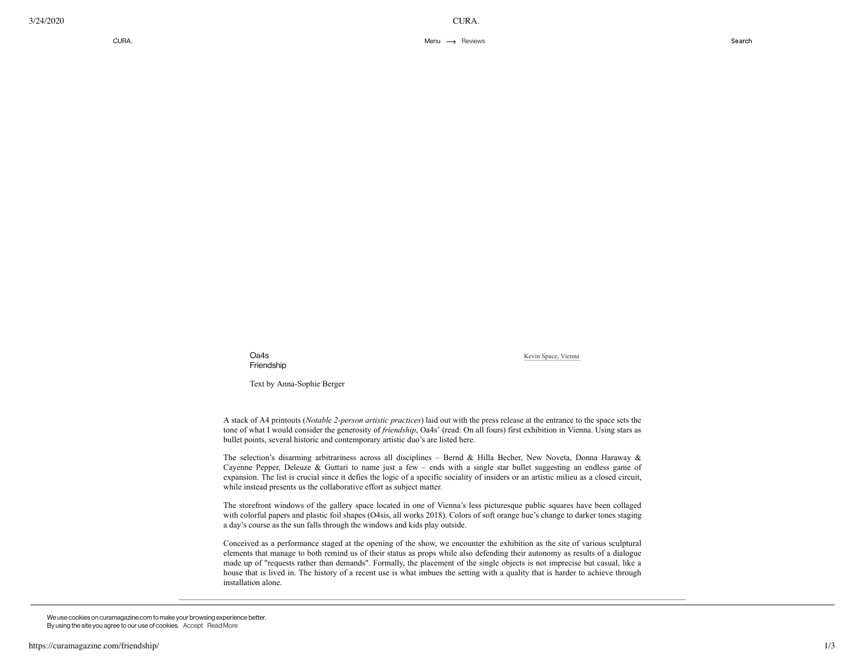Oa4s Friendship

Kevin Space, [Vienna](http://www.kevinspace.org/)

Text by Anna-Sophie Berger

A stack of A4 printouts (*Notable 2-person artistic practices*) laid out with the press release at the entrance to the space sets the tone of what I would consider the generosity of *friendship*, Oa4s' (read: On all fours) first exhibition in Vienna. Using stars as bullet points, several historic and contemporary artistic duo's are listed here.

The selection's disarming arbitrariness across all disciplines – Bernd & Hilla Becher, New Noveta, Donna Haraway & Cayenne Pepper, Deleuze & Guttari to name just a few – ends with a single star bullet suggesting an endless game of expansion. The list is crucial since it defies the logic of a specific sociality of insiders or an artistic milieu as a closed circuit, while instead presents us the collaborative effort as subject matter.

The storefront windows of the gallery space located in one of Vienna's less picturesque public squares have been collaged with colorful papers and plastic foil shapes (O4sis, all works 2018). Colors of soft orange hue's change to darker tones staging a day's course as the sun falls through the windows and kids play outside.

Conceived as a performance staged at the opening of the show, we encounter the exhibition as the site of various sculptural elements that manage to both remind us of their status as props while also defending their autonomy as results of a dialogue made up of "requests rather than demands"*.* Formally, the placement of the single objects is not imprecise but casual, like a house that is lived in. The history of a recent use is what imbues the setting with a quality that is harder to achieve through installation alone.

We use cookies on curamagazine.com to make your browsing experience better. By using the site you agree to our use of cookies. Accept [Read](https://curamagazine.com/privacy-policy) More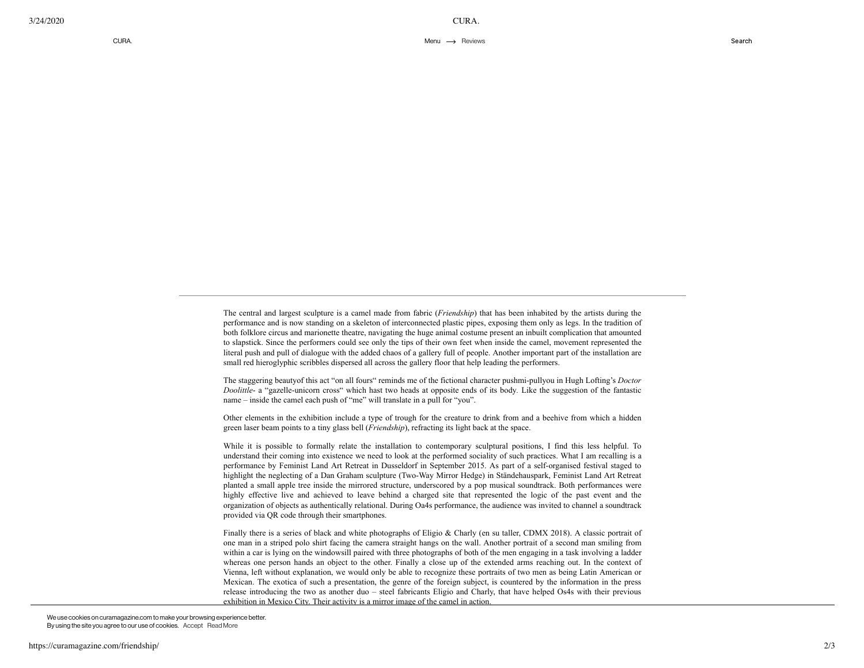The central and largest sculpture is a camel made from fabric (*Friendship*) that has been inhabited by the artists during the performance and is now standing on a skeleton of interconnected plastic pipes, exposing them only as legs. In the tradition of both folklore circus and marionette theatre, navigating the huge animal costume present an inbuilt complication that amounted to slapstick. Since the performers could see only the tips of their own feet when inside the camel, movement represented the literal push and pull of dialogue with the added chaos of a gallery full of people. Another important part of the installation are small red hieroglyphic scribbles dispersed all across the gallery floor that help leading the performers.

The staggering beautyof this act "on all fours" reminds me of the fictional character pushmi-pullyou in Hugh Lofting's *Doctor Doolittle*- a "gazelle-unicorn cross" which hast two heads at opposite ends of its body*.* Like the suggestion of the fantastic name – inside the camel each push of "me" will translate in a pull for "you".

Other elements in the exhibition include a type of trough for the creature to drink from and a beehive from which a hidden green laser beam points to a tiny glass bell (*Friendship*), refracting its light back at the space.

While it is possible to formally relate the installation to contemporary sculptural positions, I find this less helpful. To understand their coming into existence we need to look at the performed sociality of such practices. What I am recalling is a performance by Feminist Land Art Retreat in Dusseldorf in September 2015. As part of a self-organised festival staged to highlight the neglecting of a Dan Graham sculpture (Two-Way Mirror Hedge) in Ständehauspark, Feminist Land Art Retreat planted a small apple tree inside the mirrored structure, underscored by a pop musical soundtrack. Both performances were highly effective live and achieved to leave behind a charged site that represented the logic of the past event and the organization of objects as authentically relational. During Oa4s performance, the audience was invited to channel a soundtrack provided via QR code through their smartphones.

Finally there is a series of black and white photographs of Eligio & Charly (en su taller, CDMX 2018). A classic portrait of one man in a striped polo shirt facing the camera straight hangs on the wall. Another portrait of a second man smiling from within a car is lying on the windowsill paired with three photographs of both of the men engaging in a task involving a ladder whereas one person hands an object to the other. Finally a close up of the extended arms reaching out. In the context of Vienna, left without explanation, we would only be able to recognize these portraits of two men as being Latin American or Mexican. The exotica of such a presentation, the genre of the foreign subject, is countered by the information in the press release introducing the two as another duo – steel fabricants Eligio and Charly, that have helped Os4s with their previous exhibition in Mexico City. Their activity is a mirror image of the camel in action.

 $\Phi$  interior the exhibition manages to expand its political expanding its political expanding  $\Phi$  $i$ interaction between themselves to a decided emphasis on friendship as a will social act of care embedded in the  $i$ We use cookies on curamagazine.com to make your browsing experience better. By using the site you agree to our use of cookies. Accept [Read](https://curamagazine.com/privacy-policy) More